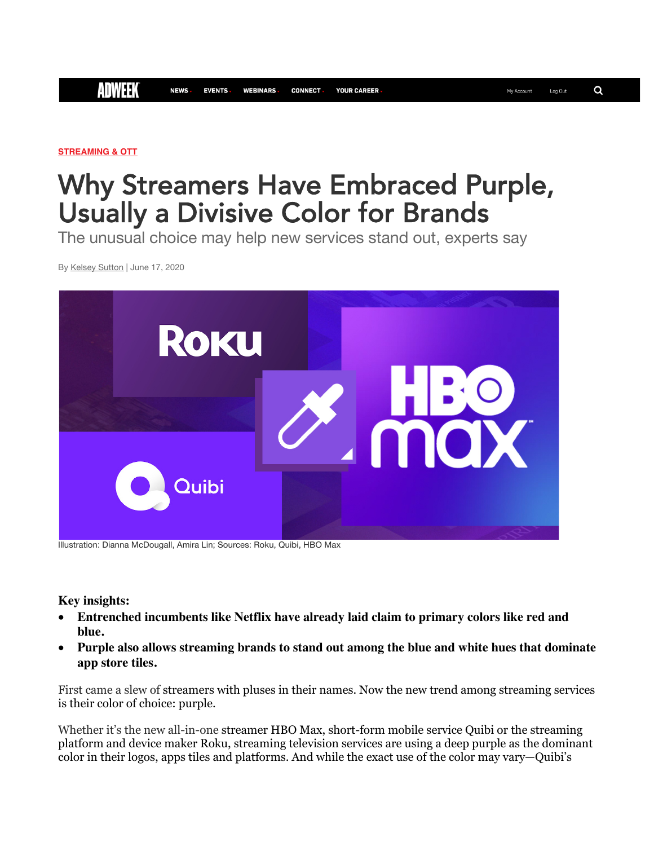**STREAMING & OTT**

## Why Streamers Have Embraced Purple, Usually a Divisive Color for Brands

The unusual choice may help new services stand out, experts say

By Kelsey Sutton | June 17, 2020



Illustration: Dianna McDougall, Amira Lin; Sources: Roku, Quibi, HBO Max

## **Key insights:**

- **Entrenched incumbents like Netflix have already laid claim to primary colors like red and blue.**
- **Purple also allows streaming brands to stand out among the blue and white hues that dominate app store tiles.**

First came a slew of streamers with pluses in their names. Now the new trend among streaming services is their color of choice: purple.

Whether it's the new all-in-one streamer HBO Max, short-form mobile service Quibi or the streaming platform and device maker Roku, streaming television services are using a deep purple as the dominant color in their logos, apps tiles and platforms. And while the exact use of the color may vary—Quibi's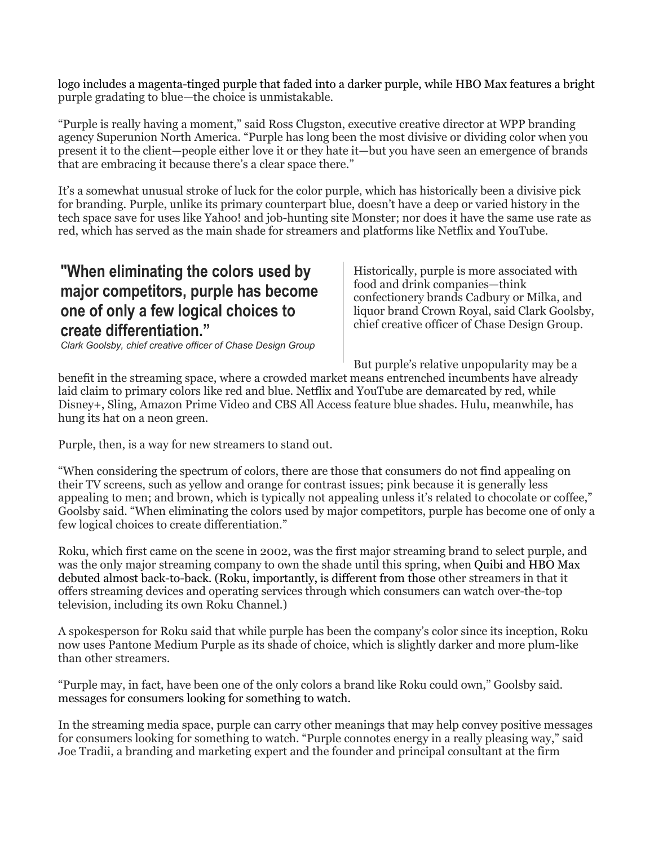logo includes a magenta-tinged purple that faded into a darker purple, while HBO Max features a bright purple gradating to blue—the choice is unmistakable.

"Purple is really having a moment," said Ross Clugston, executive creative director at WPP branding agency Superunion North America. "Purple has long been the most divisive or dividing color when you present it to the client—people either love it or they hate it—but you have seen an emergence of brands that are embracing it because there's a clear space there."

It's a somewhat unusual stroke of luck for the color purple, which has historically been a divisive pick for branding. Purple, unlike its primary counterpart blue, doesn't have a deep or varied history in the tech space save for uses like Yahoo! and job-hunting site Monster; nor does it have the same use rate as red, which has served as the main shade for streamers and platforms like Netflix and YouTube.

## **"When eliminating the colors used by major competitors, purple has become one of only a few logical choices to create differentiation."**

Historically, purple is more associated with food and drink companies—think confectionery brands Cadbury or Milka, and liquor brand Crown Royal, said Clark Goolsby, chief creative officer of Chase Design Group.

*Clark Goolsby, chief creative officer of Chase Design Group*

But purple's relative unpopularity may be a

benefit in the streaming space, where a crowded market means entrenched incumbents have already laid claim to primary colors like red and blue. Netflix and YouTube are demarcated by red, while Disney+, Sling, Amazon Prime Video and CBS All Access feature blue shades. Hulu, meanwhile, has hung its hat on a neon green.

Purple, then, is a way for new streamers to stand out.

"When considering the spectrum of colors, there are those that consumers do not find appealing on their TV screens, such as yellow and orange for contrast issues; pink because it is generally less appealing to men; and brown, which is typically not appealing unless it's related to chocolate or coffee," Goolsby said. "When eliminating the colors used by major competitors, purple has become one of only a few logical choices to create differentiation."

Roku, which first came on the scene in 2002, was the first major streaming brand to select purple, and was the only major streaming company to own the shade until this spring, when Quibi and HBO Max debuted almost back-to-back. (Roku, importantly, is different from those other streamers in that it offers streaming devices and operating services through which consumers can watch over-the-top television, including its own Roku Channel.)

A spokesperson for Roku said that while purple has been the company's color since its inception, Roku now uses Pantone Medium Purple as its shade of choice, which is slightly darker and more plum-like than other streamers.

"Purple may, in fact, have been one of the only colors a brand like Roku could own," Goolsby said. messages for consumers looking for something to watch.

In the streaming media space, purple can carry other meanings that may help convey positive messages for consumers looking for something to watch. "Purple connotes energy in a really pleasing way," said Joe Tradii, a branding and marketing expert and the founder and principal consultant at the firm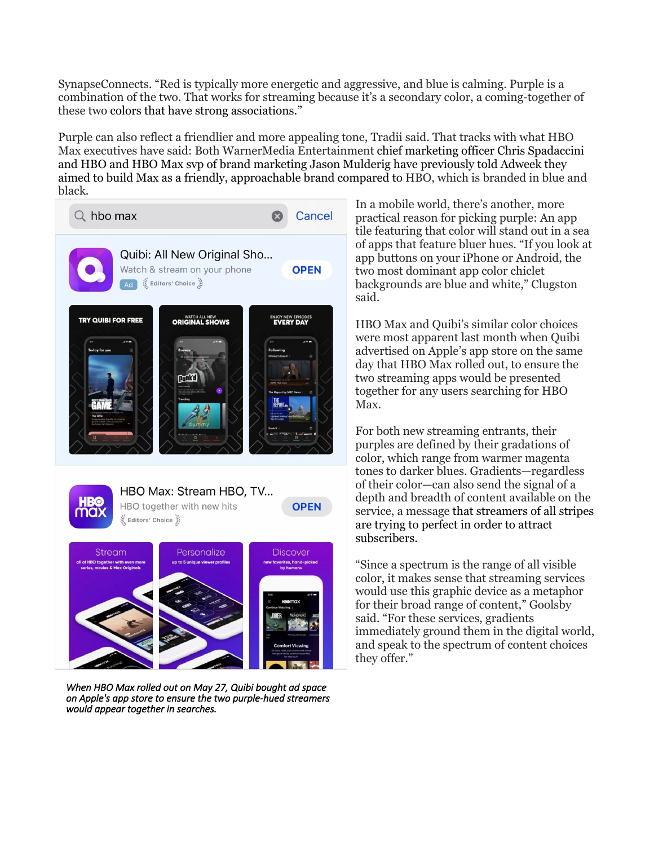SynapseConnects. "Red is typically more energetic and aggressive, and blue is calming. Purple is a combination of the two. That works for streaming because it's a secondary color, a coming-together of these two colors that have strong associations."

Purple can also reflect a friendlier and more appealing tone, Tradii said. That tracks with what HBO Max executives have said: Both WarnerMedia Entertainment chief marketing officer Chris Spadaccini and HBO and HBO Max svp of brand marketing Jason Mulderig have previously told Adweek they aimed to build Max as a friendly, approachable brand compared to HBO, which is branded in blue and black.



*When HBO Max rolled out on May 27, Quibi bought ad space on Apple's app store to ensure the two purple-hued streamers would appear together in searches.* 

In a mobile world, there's another, more practical reason for picking purple: An app tile featuring that color will stand out in a sea of apps that feature bluer hues. "If you look at app buttons on your iPhone or Android, the two most dominant app color chiclet backgrounds are blue and white," Clugston said.

HBO Max and Quibi's similar color choices were most apparent last month when Quibi advertised on Apple's app store on the same day that HBO Max rolled out, to ensure the two streaming apps would be presented together for any users searching for HBO Max.

For both new streaming entrants, their purples are defined by their gradations of color, which range from warmer magenta tones to darker blues. Gradients—regardless of their color—can also send the signal of a depth and breadth of content available on the service, a message that streamers of all stripes are trying to perfect in order to attract subscribers.

"Since a spectrum is the range of all visible color, it makes sense that streaming services would use this graphic device as a metaphor for their broad range of content," Goolsby said. "For these services, gradients immediately ground them in the digital world, and speak to the spectrum of content choices they offer."